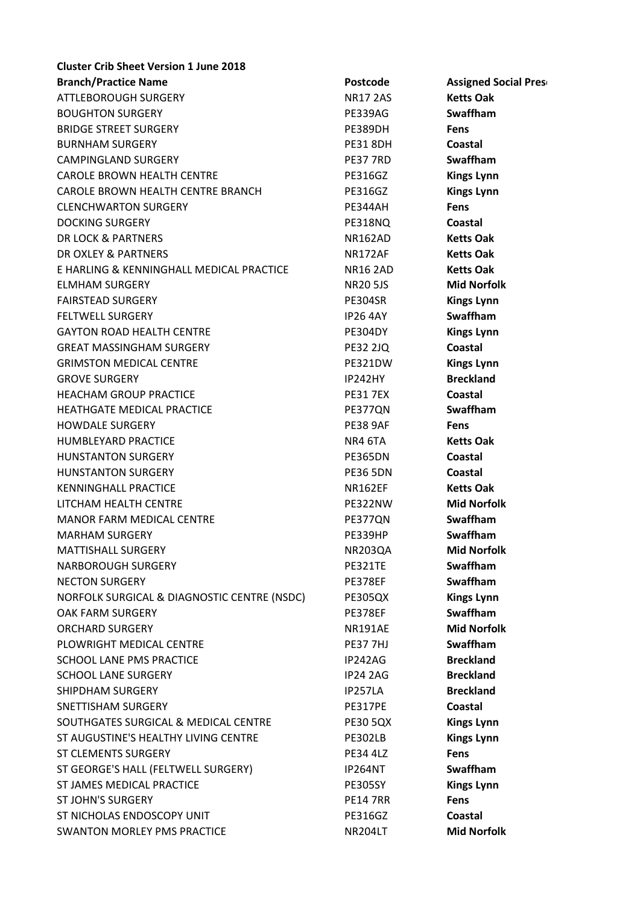| <b>Cluster Crib Sheet Version 1 June 2018</b> |                 |                             |
|-----------------------------------------------|-----------------|-----------------------------|
| <b>Branch/Practice Name</b>                   | <b>Postcode</b> | <b>Assigned Social Pres</b> |
| <b>ATTLEBOROUGH SURGERY</b>                   | <b>NR17 2AS</b> | <b>Ketts Oak</b>            |
| <b>BOUGHTON SURGERY</b>                       | PE339AG         | Swaffham                    |
| <b>BRIDGE STREET SURGERY</b>                  | PE389DH         | <b>Fens</b>                 |
| <b>BURNHAM SURGERY</b>                        | <b>PE31 8DH</b> | Coastal                     |
| <b>CAMPINGLAND SURGERY</b>                    | <b>PE37 7RD</b> | <b>Swaffham</b>             |
| <b>CAROLE BROWN HEALTH CENTRE</b>             | <b>PE316GZ</b>  | <b>Kings Lynn</b>           |
| CAROLE BROWN HEALTH CENTRE BRANCH             | <b>PE316GZ</b>  | <b>Kings Lynn</b>           |
| <b>CLENCHWARTON SURGERY</b>                   | PE344AH         | <b>Fens</b>                 |
| <b>DOCKING SURGERY</b>                        | PE318NQ         | Coastal                     |
| DR LOCK & PARTNERS                            | <b>NR162AD</b>  | <b>Ketts Oak</b>            |
| DR OXLEY & PARTNERS                           | <b>NR172AF</b>  | <b>Ketts Oak</b>            |
| E HARLING & KENNINGHALL MEDICAL PRACTICE      | <b>NR16 2AD</b> | <b>Ketts Oak</b>            |
| <b>ELMHAM SURGERY</b>                         | <b>NR20 5JS</b> | <b>Mid Norfolk</b>          |
| <b>FAIRSTEAD SURGERY</b>                      | <b>PE304SR</b>  | <b>Kings Lynn</b>           |
| <b>FELTWELL SURGERY</b>                       | <b>IP26 4AY</b> | <b>Swaffham</b>             |
| <b>GAYTON ROAD HEALTH CENTRE</b>              | <b>PE304DY</b>  | <b>Kings Lynn</b>           |
| <b>GREAT MASSINGHAM SURGERY</b>               | <b>PE32 2JQ</b> | <b>Coastal</b>              |
| <b>GRIMSTON MEDICAL CENTRE</b>                | PE321DW         | <b>Kings Lynn</b>           |
| <b>GROVE SURGERY</b>                          | <b>IP242HY</b>  | <b>Breckland</b>            |
| <b>HEACHAM GROUP PRACTICE</b>                 | <b>PE31 7EX</b> | <b>Coastal</b>              |
| HEATHGATE MEDICAL PRACTICE                    | PE377QN         | <b>Swaffham</b>             |
| <b>HOWDALE SURGERY</b>                        | <b>PE38 9AF</b> | <b>Fens</b>                 |
| HUMBLEYARD PRACTICE                           | NR4 6TA         | <b>Ketts Oak</b>            |
| <b>HUNSTANTON SURGERY</b>                     | PE365DN         | Coastal                     |
| <b>HUNSTANTON SURGERY</b>                     | <b>PE36 5DN</b> | Coastal                     |
| <b>KENNINGHALL PRACTICE</b>                   | <b>NR162EF</b>  | <b>Ketts Oak</b>            |
| LITCHAM HEALTH CENTRE                         | PE322NW         | <b>Mid Norfolk</b>          |
| MANOR FARM MEDICAL CENTRE                     | PE377QN         | Swaffham                    |
| <b>MARHAM SURGERY</b>                         | PE339HP         | Swaffham                    |
| <b>MATTISHALL SURGERY</b>                     | <b>NR203QA</b>  | <b>Mid Norfolk</b>          |
| <b>NARBOROUGH SURGERY</b>                     | PE321TE         | <b>Swaffham</b>             |
| <b>NECTON SURGERY</b>                         | PE378EF         | Swaffham                    |
| NORFOLK SURGICAL & DIAGNOSTIC CENTRE (NSDC)   | <b>PE305QX</b>  | <b>Kings Lynn</b>           |
| OAK FARM SURGERY                              | PE378EF         | Swaffham                    |
| <b>ORCHARD SURGERY</b>                        | <b>NR191AE</b>  | <b>Mid Norfolk</b>          |
| PLOWRIGHT MEDICAL CENTRE                      | <b>PE37 7HJ</b> | <b>Swaffham</b>             |
| SCHOOL LANE PMS PRACTICE                      | IP242AG         | <b>Breckland</b>            |
| <b>SCHOOL LANE SURGERY</b>                    | <b>IP24 2AG</b> | <b>Breckland</b>            |
| SHIPDHAM SURGERY                              | IP257LA         | <b>Breckland</b>            |
| SNETTISHAM SURGERY                            | PE317PE         | Coastal                     |
| SOUTHGATES SURGICAL & MEDICAL CENTRE          | <b>PE30 5QX</b> | <b>Kings Lynn</b>           |
| ST AUGUSTINE'S HEALTHY LIVING CENTRE          | <b>PE302LB</b>  | <b>Kings Lynn</b>           |
| <b>ST CLEMENTS SURGERY</b>                    | <b>PE34 4LZ</b> | <b>Fens</b>                 |
| ST GEORGE'S HALL (FELTWELL SURGERY)           | <b>IP264NT</b>  | <b>Swaffham</b>             |
| ST JAMES MEDICAL PRACTICE                     | <b>PE305SY</b>  | <b>Kings Lynn</b>           |
| <b>ST JOHN'S SURGERY</b>                      | <b>PE14 7RR</b> | Fens                        |
| ST NICHOLAS ENDOSCOPY UNIT                    | <b>PE316GZ</b>  | <b>Coastal</b>              |
| <b>SWANTON MORLEY PMS PRACTICE</b>            | NR204LT         | <b>Mid Norfolk</b>          |